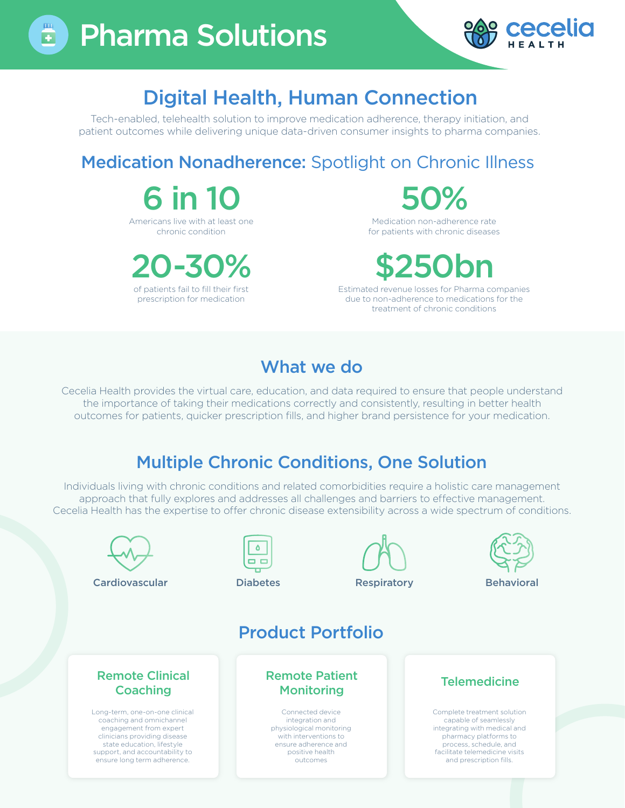



## Digital Health, Human Connection

Tech-enabled, telehealth solution to improve medication adherence, therapy initiation, and patient outcomes while delivering unique data-driven consumer insights to pharma companies.

### Medication Nonadherence: Spotlight on Chronic Illness

 $6$  in 1 Americans live with at least one chronic condition

20-30% of patients fail to fill their first

prescription for medication

50%

Medication non-adherence rate for patients with chronic diseases

# \$250bn

Estimated revenue losses for Pharma companies due to non-adherence to medications for the treatment of chronic conditions

### What we do

Cecelia Health provides the virtual care, education, and data required to ensure that people understand the importance of taking their medications correctly and consistently, resulting in better health outcomes for patients, quicker prescription fills, and higher brand persistence for your medication.

#### Multiple Chronic Conditions, One Solution

Individuals living with chronic conditions and related comorbidities require a holistic care management approach that fully explores and addresses all challenges and barriers to effective management. Cecelia Health has the expertise to offer chronic disease extensibility across a wide spectrum of conditions.